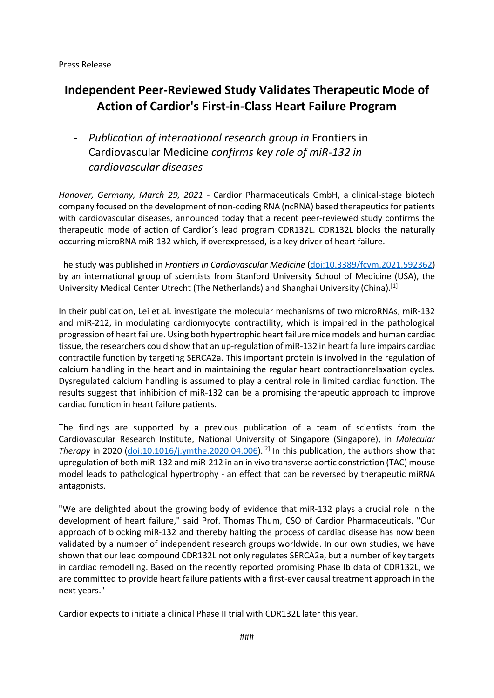# **Independent Peer-Reviewed Study Validates Therapeutic Mode of Action of Cardior's First-in-Class Heart Failure Program**

- *Publication of international research group in* Frontiers in Cardiovascular Medicine *confirms key role of miR-132 in cardiovascular diseases*

*Hanover, Germany, March 29, 2021* - Cardior Pharmaceuticals GmbH, a clinical-stage biotech company focused on the development of non-coding RNA (ncRNA) based therapeutics for patients with cardiovascular diseases, announced today that a recent peer-reviewed study confirms the therapeutic mode of action of Cardior´s lead program CDR132L. CDR132L blocks the naturally occurring microRNA miR-132 which, if overexpressed, is a key driver of heart failure.

The study was published in *Frontiers in Cardiovascular Medicine* [\(doi:10.3389/fcvm.2021.592362\)](https://pubmed.ncbi.nlm.nih.gov/33816571/) by an international group of scientists from Stanford University School of Medicine (USA), the University Medical Center Utrecht (The Netherlands) and Shanghai University (China).<sup>[1]</sup>

In their publication, Lei et al. investigate the molecular mechanisms of two microRNAs, miR-132 and miR-212, in modulating cardiomyocyte contractility, which is impaired in the pathological progression of heart failure. Using both hypertrophic heart failure mice models and human cardiac tissue, the researchers could show that an up-regulation of miR-132 in heart failure impairs cardiac contractile function by targeting SERCA2a. This important protein is involved in the regulation of calcium handling in the heart and in maintaining the regular heart contractionrelaxation cycles. Dysregulated calcium handling is assumed to play a central role in limited cardiac function. The results suggest that inhibition of miR-132 can be a promising therapeutic approach to improve cardiac function in heart failure patients.

The findings are supported by a previous publication of a team of scientists from the Cardiovascular Research Institute, National University of Singapore (Singapore), in *Molecular Therapy* in 2020 [\(doi:10.1016/j.ymthe.2020.04.006\)](https://pubmed.ncbi.nlm.nih.gov/32304667/).[2] In this publication, the authors show that upregulation of both miR-132 and miR-212 in an in vivo transverse aortic constriction (TAC) mouse model leads to pathological hypertrophy - an effect that can be reversed by therapeutic miRNA antagonists.

"We are delighted about the growing body of evidence that miR-132 plays a crucial role in the development of heart failure," said Prof. Thomas Thum, CSO of Cardior Pharmaceuticals. "Our approach of blocking miR-132 and thereby halting the process of cardiac disease has now been validated by a number of independent research groups worldwide. In our own studies, we have shown that our lead compound CDR132L not only regulates SERCA2a, but a number of key targets in cardiac remodelling. Based on the recently reported promising Phase Ib data of CDR132L, we are committed to provide heart failure patients with a first-ever causal treatment approach in the next years."

Cardior expects to initiate a clinical Phase II trial with CDR132L later this year.